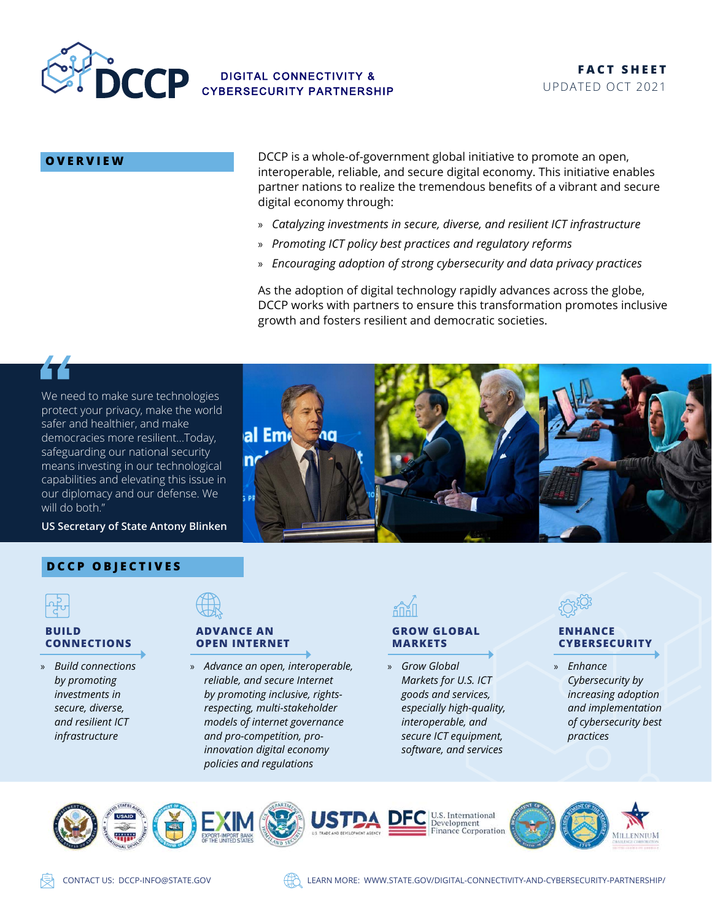

**OVERVIEW** DCCP is a whole-of-government global initiative to promote an open, interoperable, reliable, and secure digital economy. This initiative enables partner nations to realize the tremendous benefits of a vibrant and secure digital economy through:

- » *Catalyzing investments in secure, diverse, and resilient ICT infrastructure*
- » *Promoting ICT policy best practices and regulatory reforms*
- » *Encouraging adoption of strong cybersecurity and data privacy practices*

As the adoption of digital technology rapidly advances across the globe, DCCP works with partners to ensure this transformation promotes inclusive growth and fosters resilient and democratic societies.



We need to make sure technologies protect your privacy, make the world safer and healthier, and make democracies more resilient…Today, safeguarding our national security means investing in our technological capabilities and elevating this issue in our diplomacy and our defense. We will do both."

**US Secretary of State Antony Blinken** 

# **DCCP OBJECTIVES**



## **BUILD CONNECTIONS**

» *Build connections by promoting investments in secure, diverse, and resilient ICT infrastructure*

# **ADVANCE AN OPEN INTERNET**

al Emi

 $\overline{\mathsf{n}'}$ 

» *Advance an open, interoperable, reliable, and secure Internet by promoting inclusive, rightsrespecting, multi-stakeholder models of internet governance and pro-competition, proinnovation digital economy policies and regulations*



## **GROW GLOBAL MARKETS**

» *Grow Global Markets for U.S. ICT goods and services, especially high-quality, interoperable, and secure ICT equipment, software, and services*



## **ENHANCE CYBERSECURITY**

» *Enhance Cybersecurity by increasing adoption and implementation of cybersecurity best practices*





CONTACT US: [DCCP-INFO@STATE.GOV](mailto:DCCP-INFO@STATE.GOV) LEARN MORE: [WWW.STATE.GOV/DIGITAL-CONNECTIVITY-AND-CYBERSECURITY-PARTNERSHIP/](WWW.STATE.GOV/DIGITAL-CONNECTIVITY-AND-CYBERSECURITY-PARTNERSHIP)